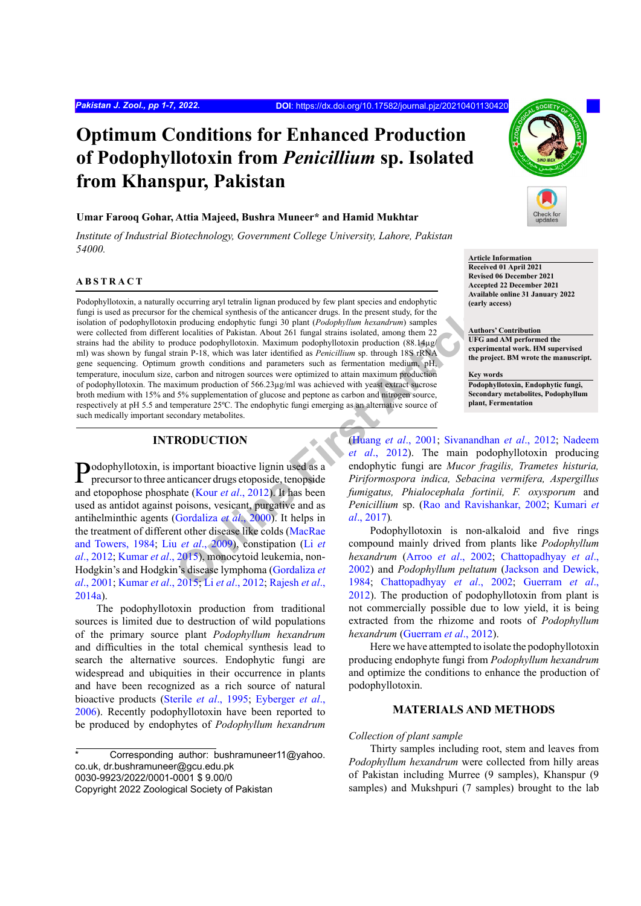# **Optimum Conditions for Enhanced Production of Podophyllotoxin from** *Penicillium* **sp. Isolated from Khanspur, Pakistan**

# **Umar Farooq Gohar, Attia Majeed, Bushra Muneer\* and Hamid Mukhtar**

*Institute of Industrial Biotechnology, Government College University, Lahore, Pakistan 54000.*

## **ABSTRACT**

First chemical synthesis of the anticancer drugs. In the present study, for the chemical synthesis of the anticancer drugs. In the present study, for the producing endophylic fungi 3 0 plant (*Podophyllatoxin*). Axis later Podophyllotoxin, a naturally occurring aryl tetralin lignan produced by few plant species and endophytic fungi is used as precursor for the chemical synthesis of the anticancer drugs. In the present study, for the isolation of podophyllotoxin producing endophytic fungi 30 plant (*Podophyllum hexandrum*) samples were collected from different localities of Pakistan. About 261 fungal strains isolated, among them 22 strains had the ability to produce podophyllotoxin. Maximum podophyllotoxin production (88.14µg/ ml) was shown by fungal strain P-18, which was later identified as *Penicillium* sp. through 18S rRNA gene sequencing. Optimum growth conditions and parameters such as fermentation medium, pH, temperature, inoculum size, carbon and nitrogen sources were optimized to attain maximum production of podophyllotoxin. The maximum production of 566.23µg/ml was achieved with yeast extract sucrose broth medium with 15% and 5% supplementation of glucose and peptone as carbon and nitrogen source, respectively at pH 5.5 and temperature 25ºC. The endophytic fungi emerging as an alternative source of such medically important secondary metabolites.

# **INTRODUCTION**

Podophyllotoxin, is important bioactive lignin used as a precursor to three anticancer drugs etoposide, tenopside and etopophose phosphate (Kour *et al*., 2012). It has been used as antidot against poisons, vesicant, purgative and as antihelminthic agents (Gordaliza *et al*., 2000). It helps in the treatment of different other disease like colds (MacRae and Towers, 1984; Liu *et al*., 2009), constipation (Li *et al*., 2012; Kumar *et al*., 2015), monocytoid leukemia, non-Hodgkin's and Hodgkin's disease lymphoma (Gordaliza *et al*., 2001; Kumar *et al*., 2015; Li *et al*., 2012; Rajesh *et al*., 2014a).

The podophyllotoxin production from traditional sources is limited due to destruction of wild populations of the primary source plant *Podophyllum hexandrum*  and difficulties in the total chemical synthesis lead to search the alternative sources. Endophytic fungi are widespread and ubiquities in their occurrence in plants and have been recognized as a rich source of natural bioactive products (Sterile *et al*., 1995; Eyberger *et al*., 2006). Recently podophyllotoxin have been reported to be produced by endophytes of *Podophyllum hexandrum*

#### **Article Information**

**Received 01 April 2021 Revised 06 December 2021 Accepted 22 December 2021 Available online 31 January 2022 (early access)**

**Authors' Contribution UFG and AM performed the experimental work. HM supervised the project. BM wrote the manuscript.**

**Key words Podophyllotoxin, Endophytic fungi, Secondary metabolites, Podophyllum plant, Fermentation**

(Huang *et al*., 2001; Sivanandhan *et al*., 2012; Nadeem *et al*., 2012). The main podophyllotoxin producing endophytic fungi are *Mucor fragilis, Trametes histuria, Piriformospora indica, Sebacina vermifera, Aspergillus fumigatus, Phialocephala fortinii, F. oxysporum* and *Penicillium* sp. (Rao and Ravishankar, 2002; Kumari *et al*., 2017)*.*

Podophyllotoxin is non-alkaloid and five rings compound mainly drived from plants like *Podophyllum hexandrum* (Arroo *et al*., 2002; Chattopadhyay *et al*., 2002) and *Podophyllum peltatum* (Jackson and Dewick, 1984; Chattopadhyay *et al*., 2002; Guerram *et al*., 2012). The production of podophyllotoxin from plant is not commercially possible due to low yield, it is being extracted from the rhizome and roots of *Podophyllum hexandrum* (Guerram *et al*., 2012).

Here we have attempted to isolate the podophyllotoxin producing endophyte fungi from *Podophyllum hexandrum*  and optimize the conditions to enhance the production of podophyllotoxin.

# **MATERIALS AND METHODS**

#### *Collection of plant sample*

Thirty samples including root, stem and leaves from *Podophyllum hexandrum* were collected from hilly areas of Pakistan including Murree (9 samples), Khanspur (9 samples) and Mukshpuri (7 samples) brought to the lab

Corresponding author: bushramuneer11@yahoo. co.uk, dr.bushramuneer@gcu.edu.pk 0030-9923/2022/0001-0001 \$ 9.00/0 Copyright 2022 Zoological Society of Pakistan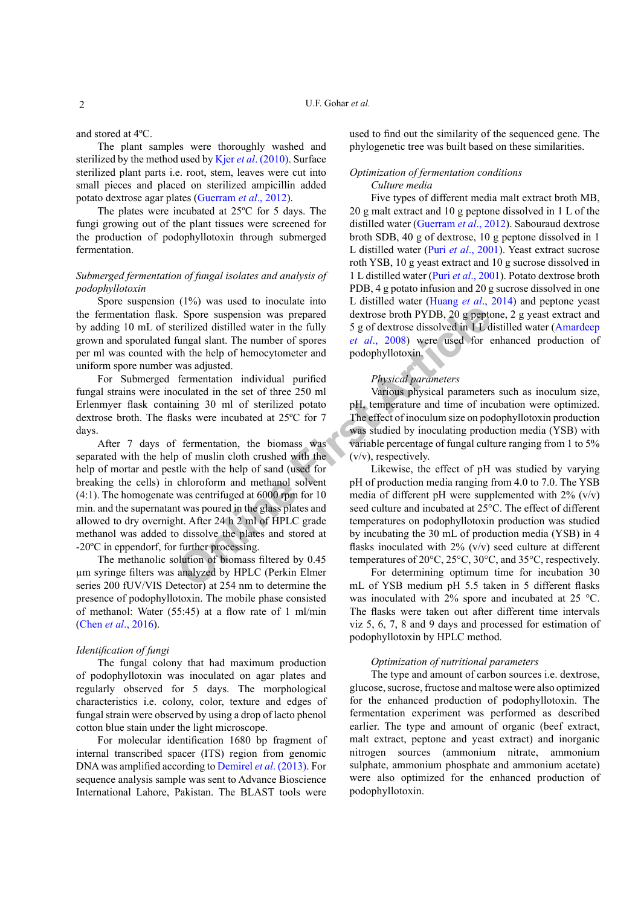and stored at 4ºC.

The plant samples were thoroughly washed and sterilized by the method used by Kjer *et al*. (2010). Surface sterilized plant parts i.e. root, stem, leaves were cut into small pieces and placed on sterilized ampicillin added potato dextrose agar plates (Guerram *et al*., 2012).

The plates were incubated at 25ºC for 5 days. The fungi growing out of the plant tissues were screened for the production of podophyllotoxin through submerged fermentation.

# *Submerged fermentation of fungal isolates and analysis of podophyllotoxin*

Spore suspension (1%) was used to inoculate into the fermentation flask. Spore suspension was prepared by adding 10 mL of sterilized distilled water in the fully grown and sporulated fungal slant. The number of spores per ml was counted with the help of hemocytometer and uniform spore number was adjusted.

For Submerged fermentation individual purified fungal strains were inoculated in the set of three 250 ml Erlenmyer flask containing 30 ml of sterilized potato dextrose broth. The flasks were incubated at 25ºC for 7 days.

For expension was prepared<br>
Spore suspension was prepared<br>
dextrose broth PYDB, 20 g pepter<br>
erilized distilled water in the fully 5 g of dextrose dissolved in 1 L d<br>
fungal slant. The number of spores<br> *or* and the set o After 7 days of fermentation, the biomass was separated with the help of muslin cloth crushed with the help of mortar and pestle with the help of sand (used for breaking the cells) in chloroform and methanol solvent (4:1). The homogenate was centrifuged at 6000 rpm for 10 min. and the supernatant was poured in the glass plates and allowed to dry overnight. After 24 h 2 ml of HPLC grade methanol was added to dissolve the plates and stored at -20ºC in eppendorf, for further processing.

The methanolic solution of biomass filtered by 0.45 µm syringe filters was analyzed by HPLC (Perkin Elmer series 200 fUV/VIS Detector) at 254 nm to determine the presence of podophyllotoxin. The mobile phase consisted of methanol: Water (55:45) at a flow rate of 1 ml/min (Chen *et al*., 2016).

#### *Identification of fungi*

The fungal colony that had maximum production of podophyllotoxin was inoculated on agar plates and regularly observed for 5 days. The morphological characteristics i.e. colony, color, texture and edges of fungal strain were observed by using a drop of lacto phenol cotton blue stain under the light microscope.

For molecular identification 1680 bp fragment of internal transcribed spacer (ITS) region from genomic DNA was amplified according to Demirel *et al*. (2013). For sequence analysis sample was sent to Advance Bioscience International Lahore, Pakistan. The BLAST tools were

used to find out the similarity of the sequenced gene. The phylogenetic tree was built based on these similarities.

# *Optimization of fermentation conditions Culture media*

Five types of different media malt extract broth MB, 20 g malt extract and 10 g peptone dissolved in 1 L of the distilled water (Guerram *et al*., 2012). Sabouraud dextrose broth SDB, 40 g of dextrose, 10 g peptone dissolved in 1 L distilled water (Puri *et al*., 2001). Yeast extract sucrose roth YSB, 10 g yeast extract and 10 g sucrose dissolved in 1 L distilled water (Puri *et al*., 2001). Potato dextrose broth PDB, 4 g potato infusion and 20 g sucrose dissolved in one L distilled water (Huang *et al*., 2014) and peptone yeast dextrose broth PYDB, 20 g peptone, 2 g yeast extract and 5 g of dextrose dissolved in 1 L distilled water (Amardeep *et al*., 2008) were used for enhanced production of podophyllotoxin.

## *Physical parameters*

Various physical parameters such as inoculum size, pH, temperature and time of incubation were optimized. The effect of inoculum size on podophyllotoxin production was studied by inoculating production media (YSB) with variable percentage of fungal culture ranging from 1 to 5% (v/v), respectively.

Likewise, the effect of pH was studied by varying pH of production media ranging from 4.0 to 7.0. The YSB media of different pH were supplemented with  $2\%$  (v/v) seed culture and incubated at 25°C. The effect of different temperatures on podophyllotoxin production was studied by incubating the 30 mL of production media (YSB) in 4 flasks inoculated with 2% (v/v) seed culture at different temperatures of 20°C, 25°C, 30°C, and 35°C, respectively.

For determining optimum time for incubation 30 mL of YSB medium pH 5.5 taken in 5 different flasks was inoculated with 2% spore and incubated at 25 °C. The flasks were taken out after different time intervals viz 5, 6, 7, 8 and 9 days and processed for estimation of podophyllotoxin by HPLC method.

### *Optimization of nutritional parameters*

The type and amount of carbon sources i.e. dextrose, glucose, sucrose, fructose and maltose were also optimized for the enhanced production of podophyllotoxin. The fermentation experiment was performed as described earlier. The type and amount of organic (beef extract, malt extract, peptone and yeast extract) and inorganic nitrogen sources (ammonium nitrate, ammonium sulphate, ammonium phosphate and ammonium acetate) were also optimized for the enhanced production of podophyllotoxin.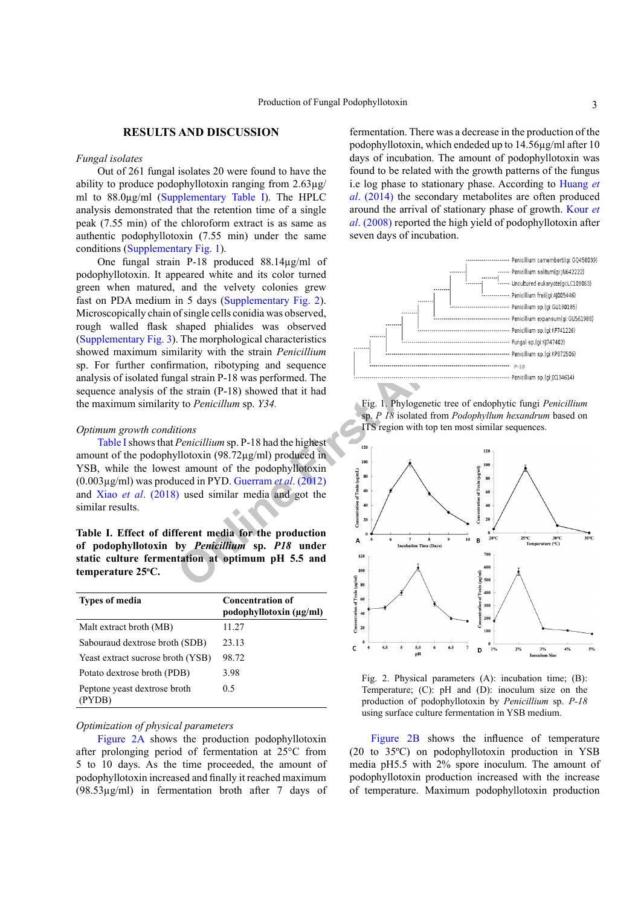## **RESULTS AND DISCUSSION**

#### *Fungal isolates*

Out of 261 fungal isolates 20 were found to have the ability to produce podophyllotoxin ranging from 2.63µg/ ml to 88.0µg/ml (Supplementary Table I). The HPLC analysis demonstrated that the retention time of a single peak (7.55 min) of the chloroform extract is as same as authentic podophyllotoxin (7.55 min) under the same conditions (Supplementary Fig. 1).

One fungal strain P-18 produced 88.14µg/ml of podophyllotoxin. It appeared white and its color turned green when matured, and the velvety colonies grew fast on PDA medium in 5 days (Supplementary Fig. 2). Microscopically chain of single cells conidia was observed, rough walled flask shaped phialides was observed (Supplementary Fig. 3). The morphological characteristics showed maximum similarity with the strain *Penicillium*  sp. For further confirmation, ribotyping and sequence analysis of isolated fungal strain P-18 was performed. The sequence analysis of the strain (P-18) showed that it had the maximum similarity to *Penicillum* sp. *Y34.*

# *Optimum growth conditions*

Table I shows that *Penicillium* sp. P-18 had the highest amount of the podophyllotoxin (98.72µg/ml) produced in YSB, while the lowest amount of the podophyllotoxin (0.003µg/ml) was produced in PYD. Guerram *et al*. (2012) and Xiao *et al*. (2018) used similar media and got the similar results.

**Table I. Effect of different media for the production of podophyllotoxin by** *Penicillium* **sp.** *P18* **under static culture fermentation at optimum pH 5.5 and temperature 25o C.**

| <b>Types of media</b>                  | <b>Concentration of</b><br>podophyllotoxin (µg/ml) |  |  |  |  |  |  |  |
|----------------------------------------|----------------------------------------------------|--|--|--|--|--|--|--|
| Malt extract broth (MB)                | 11.27                                              |  |  |  |  |  |  |  |
| Sabouraud dextrose broth (SDB)         | 23.13                                              |  |  |  |  |  |  |  |
| Yeast extract sucrose broth (YSB)      | 98.72                                              |  |  |  |  |  |  |  |
| Potato dextrose broth (PDB)            | 3.98                                               |  |  |  |  |  |  |  |
| Peptone yeast dextrose broth<br>(PYDB) | 0.5                                                |  |  |  |  |  |  |  |

#### *Optimization of physical parameters*

Figure 2A shows the production podophyllotoxin after prolonging period of fermentation at 25°C from 5 to 10 days. As the time proceeded, the amount of podophyllotoxin increased and finally it reached maximum (98.53µg/ml) in fermentation broth after 7 days of

fermentation. There was a decrease in the production of the podophyllotoxin, which endeded up to 14.56µg/ml after 10 days of incubation. The amount of podophyllotoxin was found to be related with the growth patterns of the fungus i.e log phase to stationary phase. According to Huang *et al*. (2014) the secondary metabolites are often produced around the arrival of stationary phase of growth. Kour *et al*. (2008) reported the high yield of podophyllotoxin after seven days of incubation.









Figure 2B shows the influence of temperature (20 to 35ºC) on podophyllotoxin production in YSB media pH5.5 with 2% spore inoculum. The amount of podophyllotoxin production increased with the increase of temperature. Maximum podophyllotoxin production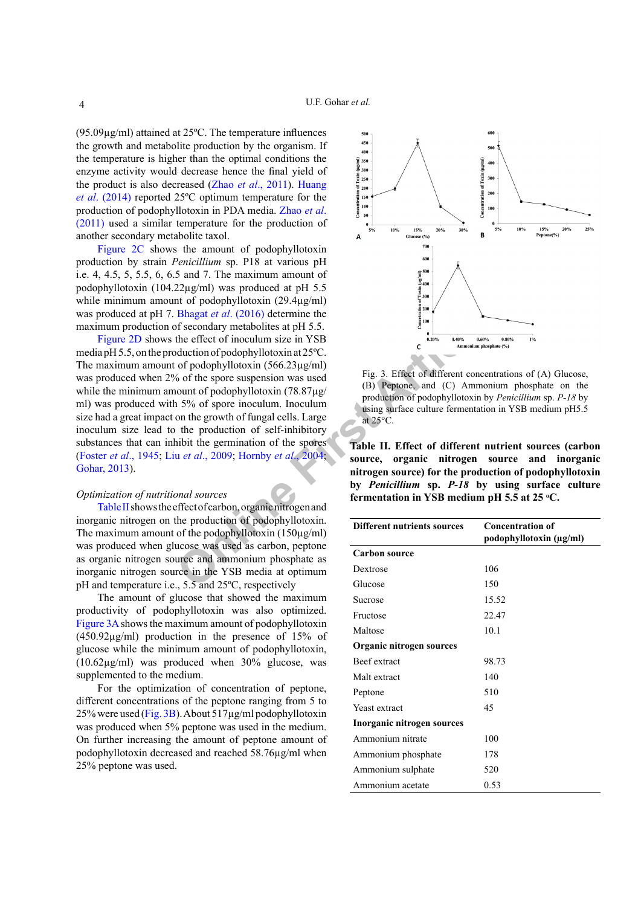(95.09µg/ml) attained at 25ºC. The temperature influences the growth and metabolite production by the organism. If the temperature is higher than the optimal conditions the enzyme activity would decrease hence the final yield of the product is also decreased (Zhao *et al*., 2011). Huang *et al*. (2014) reported 25ºC optimum temperature for the production of podophyllotoxin in PDA media. Zhao *et al*. (2011) used a similar temperature for the production of another secondary metabolite taxol.

Figure 2C shows the amount of podophyllotoxin production by strain *Penicillium* sp. P18 at various pH i.e. 4, 4.5, 5, 5.5, 6, 6.5 and 7. The maximum amount of podophyllotoxin (104.22µg/ml) was produced at pH 5.5 while minimum amount of podophyllotoxin (29.4µg/ml) was produced at pH 7. Bhagat *et al*. (2016) determine the maximum production of secondary metabolites at pH 5.5.

**Example 10**<br> **Online 10**<br> **Online 10**<br> **Online the Secondary metabolites at pH 5.5.<br>
the effect of inoculum size in YSB<br>
of podophyllotoxin (156.23 pg/m)<br>
of podophyllotoxin (18.87 pg/m)<br>
Fig. 3. Effect of different conc** Figure 2D shows the effect of inoculum size in YSB media pH 5.5, on the production of podophyllotoxin at 25ºC. The maximum amount of podophyllotoxin (566.23µg/ml) was produced when 2% of the spore suspension was used while the minimum amount of podophyllotoxin (78.87µg/ ml) was produced with 5% of spore inoculum. Inoculum size had a great impact on the growth of fungal cells. Large inoculum size lead to the production of self-inhibitory substances that can inhibit the germination of the spores (Foster *et al*., 1945; Liu *et al*., 2009; Hornby *et al*., 2004; Gohar, 2013).

# *Optimization of nutritional sources*

Table II shows the effect of carbon, organic nitrogen and inorganic nitrogen on the production of podophyllotoxin. The maximum amount of the podophyllotoxin  $(150\mu g/ml)$ was produced when glucose was used as carbon, peptone as organic nitrogen source and ammonium phosphate as inorganic nitrogen source in the YSB media at optimum pH and temperature i.e., 5.5 and 25ºC, respectively

The amount of glucose that showed the maximum productivity of podophyllotoxin was also optimized. Figure 3A shows the maximum amount of podophyllotoxin (450.92µg/ml) production in the presence of 15% of glucose while the minimum amount of podophyllotoxin, (10.62µg/ml) was produced when 30% glucose, was supplemented to the medium.

For the optimization of concentration of peptone, different concentrations of the peptone ranging from 5 to 25% were used (Fig. 3B). About 517µg/ml podophyllotoxin was produced when 5% peptone was used in the medium. On further increasing the amount of peptone amount of podophyllotoxin decreased and reached 58.76µg/ml when 25% peptone was used.



Fig. 3. Effect of different concentrations of (A) Glucose, (B) Peptone, and (C) Ammonium phosphate on the production of podophyllotoxin by *Penicillium* sp. *P-18* by using surface culture fermentation in YSB medium pH5.5 at 25°C.

**Table II. Effect of different nutrient sources (carbon source, organic nitrogen source and inorganic nitrogen source) for the production of podophyllotoxin by** *Penicillium* **sp.** *P-18* **by using surface culture**  fermentation in YSB medium pH 5.5 at 25 °C.

| <b>Different nutrients sources</b> | <b>Concentration of</b> |  |  |  |  |  |  |  |  |
|------------------------------------|-------------------------|--|--|--|--|--|--|--|--|
|                                    | podophyllotoxin (µg/ml) |  |  |  |  |  |  |  |  |
| <b>Carbon source</b>               |                         |  |  |  |  |  |  |  |  |
| Dextrose                           | 106                     |  |  |  |  |  |  |  |  |
| Glucose                            | 150                     |  |  |  |  |  |  |  |  |
| <b>Sucrose</b>                     | 15.52                   |  |  |  |  |  |  |  |  |
| Fructose                           | 22.47                   |  |  |  |  |  |  |  |  |
| Maltose                            | 10.1                    |  |  |  |  |  |  |  |  |
| Organic nitrogen sources           |                         |  |  |  |  |  |  |  |  |
| <b>Beef</b> extract                | 98.73                   |  |  |  |  |  |  |  |  |
| Malt extract                       | 140                     |  |  |  |  |  |  |  |  |
| Peptone                            | 510                     |  |  |  |  |  |  |  |  |
| Yeast extract                      | 45                      |  |  |  |  |  |  |  |  |
| Inorganic nitrogen sources         |                         |  |  |  |  |  |  |  |  |
| Ammonium nitrate                   | 100                     |  |  |  |  |  |  |  |  |
| Ammonium phosphate                 | 178                     |  |  |  |  |  |  |  |  |
| Ammonium sulphate                  | 520                     |  |  |  |  |  |  |  |  |
| Ammonium acetate                   | 0.53                    |  |  |  |  |  |  |  |  |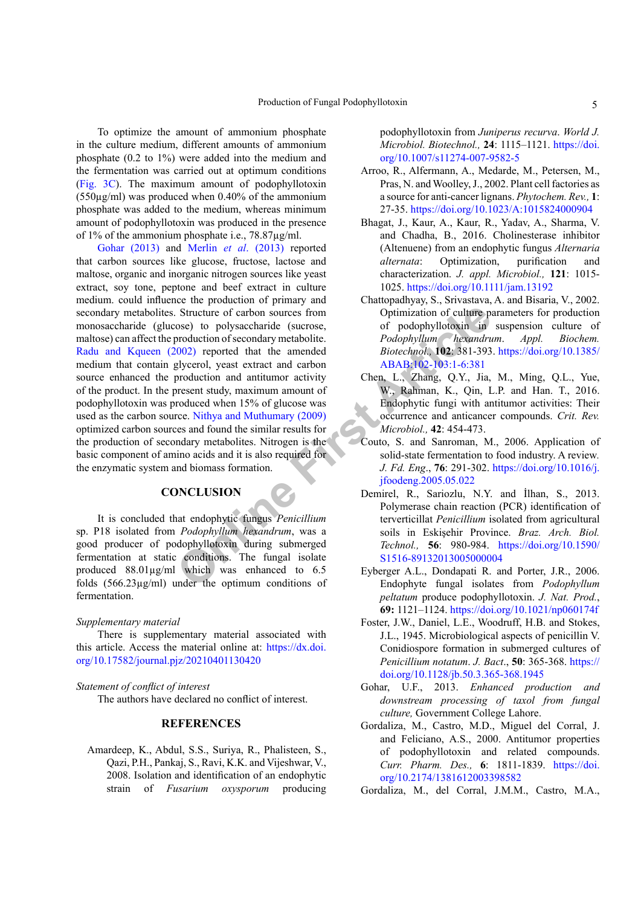To optimize the amount of ammonium phosphate in the culture medium, different amounts of ammonium phosphate (0.2 to 1%) were added into the medium and the fermentation was carried out at optimum conditions (Fig. 3C). The maximum amount of podophyllotoxin (550µg/ml) was produced when 0.40% of the ammonium phosphate was added to the medium, whereas minimum amount of podophyllotoxin was produced in the presence of 1% of the ammonium phosphate i.e., 78.87µg/ml.

Structure of carbon sources from<br>
Optimization of culture pose) to polysaccharide (sucrose, of podophyllotoxin in<br>
production of secondary metabolite. Podophyllum hexandru<br>
2002) reported that the amended Biotechnol. 102:3 Gohar (2013) and Merlin *et al*. (2013) reported that carbon sources like glucose, fructose, lactose and maltose, organic and inorganic nitrogen sources like yeast extract, soy tone, peptone and beef extract in culture medium. could influence the production of primary and secondary metabolites. Structure of carbon sources from monosaccharide (glucose) to polysaccharide (sucrose, maltose) can affect the production of secondary metabolite. Radu and Kqueen (2002) reported that the amended medium that contain glycerol, yeast extract and carbon source enhanced the production and antitumor activity of the product. In the present study, maximum amount of podophyllotoxin was produced when 15% of glucose was used as the carbon source. Nithya and Muthumary (2009) optimized carbon sources and found the similar results for the production of secondary metabolites. Nitrogen is the basic component of amino acids and it is also required for the enzymatic system and biomass formation.

# **CONCLUSION**

It is concluded that endophytic fungus *Penicillium*  sp. P18 isolated from *Podophyllum hexandrum*, was a good producer of podophyllotoxin during submerged fermentation at static conditions. The fungal isolate produced 88.01µg/ml which was enhanced to 6.5 folds (566.23µg/ml) under the optimum conditions of fermentation.

#### *Supplementary material*

There is supplementary material associated with this article. Access the material online at: [https://dx.doi.](https://dx.doi.org/10.17582/journal.pjz/20210401130420) [org/10.17582/journal.pjz/20210401130420](https://dx.doi.org/10.17582/journal.pjz/20210401130420)

## *Statement of conflict of interest*

The authors have declared no conflict of interest.

# **REFERENCES**

Amardeep, K., Abdul, S.S., Suriya, R., Phalisteen, S., Qazi, P.H., Pankaj, S., Ravi, K.K. and Vijeshwar, V., 2008. Isolation and identification of an endophytic strain of *Fusarium oxysporum* producing podophyllotoxin from *Juniperus recurva*. *World J. Microbiol. Biotechnol.,* **24**: 1115–1121. [https://doi.](https://doi.org/10.1007/s11274-007-9582-5) [org/10.1007/s11274-007-9582-5](https://doi.org/10.1007/s11274-007-9582-5)

- Arroo, R., Alfermann, A., Medarde, M., Petersen, M., Pras, N. and Woolley, J., 2002. Plant cell factories as a source for anti-cancer lignans. *Phytochem. Rev.,* **1**: 27-35.<https://doi.org/10.1023/A:1015824000904>
- Bhagat, J., Kaur, A., Kaur, R., Yadav, A., Sharma, V. and Chadha, B., 2016. Cholinesterase inhibitor (Altenuene) from an endophytic fungus *Alternaria alternata*: Optimization, purification and characterization. *J. appl. Microbiol.,* **121**: 1015- 1025.<https://doi.org/10.1111/jam.13192>
- Chattopadhyay, S., Srivastava, A. and Bisaria, V., 2002. Optimization of culture parameters for production of podophyllotoxin in suspension culture of *Podophyllum hexandrum*. *Appl. Biochem. Biotechnol.,* **102**: 381-393. [https://doi.org/10.1385/](https://doi.org/10.1385/ABAB:102-103:1-6:381) ABAB:102-103:1-6:381
- Chen, L., Zhang, Q.Y., Jia, M., Ming, Q.L., Yue, W., Rahman, K., Qin, L.P. and Han. T., 2016. Endophytic fungi with antitumor activities: Their occurrence and anticancer compounds. *Crit. Rev. Microbiol.,* **42**: 454-473.
- Couto, S. and Sanroman, M., 2006. Application of solid-state fermentation to food industry. A review*. J. Fd. Eng*., **76**: 291-302. [https://doi.org/10.1016/j.](https://doi.org/10.1016/j.jfoodeng.2005.05.022) jfoodeng.2005.05.022
	- Demirel, R., Sariozlu, N.Y. and İlhan, S., 2013. Polymerase chain reaction (PCR) identification of terverticillat *Penicillium* isolated from agricultural soils in Eskişehir Province. *Braz. Arch. Biol. Technol.,* **56**: 980-984. [https://doi.org/10.1590/](https://doi.org/10.1590/S1516-89132013005000004) S1516-89132013005000004
	- Eyberger A.L., Dondapati R. and Porter, J.R., 2006. Endophyte fungal isolates from *Podophyllum peltatum* produce podophyllotoxin. *J. Nat. Prod.*, **69:** 1121–1124.<https://doi.org/10.1021/np060174f>
	- Foster, J.W., Daniel, L.E., Woodruff, H.B. and Stokes, J.L., 1945. Microbiological aspects of penicillin V. Conidiospore formation in submerged cultures of *Penicillium notatum*. *J. Bact*., **50**: 365-368. [https://](https://doi.org/10.1128/jb.50.3.365-368.1945) [doi.org/10.1128/jb.50.3.365-368.1945](https://doi.org/10.1128/jb.50.3.365-368.1945)
	- Gohar, U.F., 2013. *Enhanced production and downstream processing of taxol from fungal culture,* Government College Lahore.
	- Gordaliza, M., Castro, M.D., Miguel del Corral, J. and Feliciano, A.S., 2000. Antitumor properties of podophyllotoxin and related compounds. *Curr. Pharm. Des.,* **6**: 1811-1839. [https://doi.](https://doi.org/10.2174/1381612003398582) [org/10.2174/1381612003398582](https://doi.org/10.2174/1381612003398582)
- Gordaliza, M., del Corral, J.M.M., Castro, M.A.,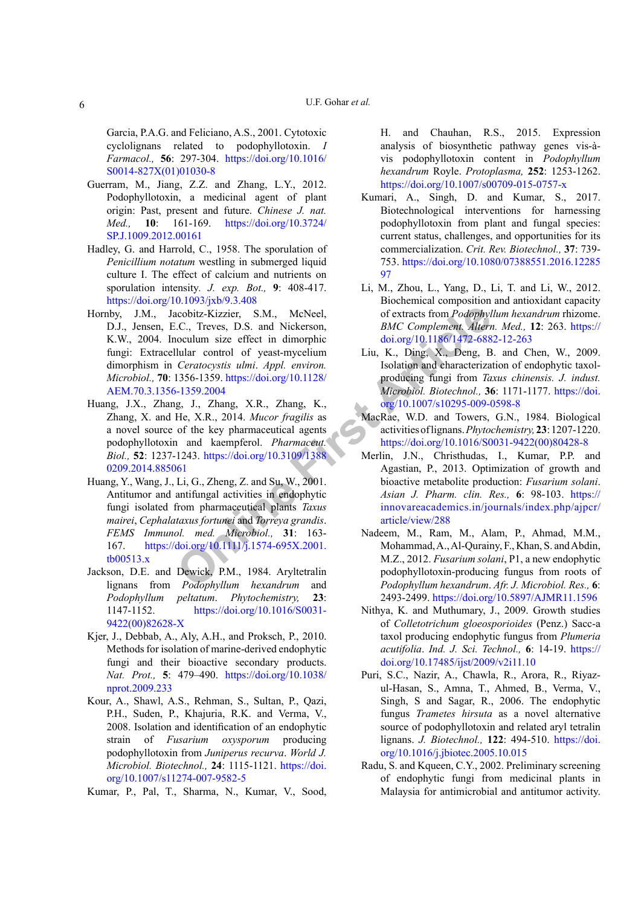Garcia, P.A.G. and Feliciano, A.S., 2001. Cytotoxic cyclolignans related to podophyllotoxin. *I Farmacol.,* **56**: 297-304. [https://doi.org/10.1016/](https://doi.org/10.1016/S0014-827X(01)01030-8) [S0014-827X\(01\)01030-8](https://doi.org/10.1016/S0014-827X(01)01030-8)

- Guerram, M., Jiang, Z.Z. and Zhang, L.Y., 2012. Podophyllotoxin, a medicinal agent of plant origin: Past, present and future. *Chinese J. nat. Med.,* **10**: 161-169. [https://doi.org/10.3724/](https://doi.org/10.3724/SP.J.1009.2012.00161) [SP.J.1009.2012.00161](https://doi.org/10.3724/SP.J.1009.2012.00161)
- Hadley, G. and Harrold, C., 1958. The sporulation of *Penicillium notatum* westling in submerged liquid culture I. The effect of calcium and nutrients on sporulation intensity*. J. exp. Bot.,* **9**: 408-417. <https://doi.org/10.1093/jxb/9.3.408>
- **EXECUTE:** C.C., Treves, D.S. and Nickerson, BMC Complemen[t](https://doi.org/10.1007/s10295-009-0598-8) [A](https://doi.org/10.1007/s10295-009-0598-8)lternoculum size effect in dimorphic doi.org/10.1186/1472-688<br>
Ulular control of yeast-mycelium Liu, K., Ding, X., Deng, B.<br> *Ceratocystis ulmi Appl. environ.* I Hornby, J.M., Jacobitz-Kizzier, S.M., McNeel, D.J., Jensen, E.C., Treves, D.S. and Nickerson, K.W., 2004. Inoculum size effect in dimorphic fungi: Extracellular control of yeast-mycelium dimorphism in *Ceratocystis ulmi*. *Appl. environ. Microbiol.,* **70**: 1356-1359. https://doi.org/10.1128/ [AEM.70.3.1356-1359.2004](https://doi.org/10.1128/AEM.70.3.1356-1359.2004)
- Huang, J.X., Zhang, J., Zhang, X.R., Zhang, K., Zhang, X. and He, X.R., 2014. *Mucor fragilis* as a novel source of the key pharmaceutical agents podophyllotoxin and kaempferol. *Pharmaceut. Biol.,* **52**: 1237-1243. https://doi.org/10.3109/1388 [0209.2014.885061](https://doi.org/10.3109/13880209.2014.885061)
- Huang, Y., Wang, J., Li, G., Zheng, Z. and Su, W., 2001. Antitumor and antifungal activities in endophytic fungi isolated from pharmaceutical plants *Taxus mairei*, *Cephalataxus fortunei* and *Torreya grandis*. *FEMS Immunol. med. Microbiol.,* **31**: 163- 167. https://doi.org/10.1111/j.1574-695X.2001. [tb00513.x](https://doi.org/10.1111/j.1574-695X.2001.tb00513.x)
- Jackson, D.E. and Dewick, P.M., 1984. Aryltetralin lignans from *Podophyllum hexandrum* and *Podophyllum peltatum*. *Phytochemistry,* **23**: 1147-1152. [https://doi.org/10.1016/S0031-](https://doi.org/10.1016/S0031-9422(00)82628-X) [9422\(00\)82628-X](https://doi.org/10.1016/S0031-9422(00)82628-X)
- Kjer, J., Debbab, A., Aly, A.H., and Proksch, P., 2010. Methods for isolation of marine-derived endophytic fungi and their bioactive secondary products. *Nat. Prot.,* **5**: 479–490. [https://doi.org/10.1038/](https://doi.org/10.1038/nprot.2009.233) [nprot.2009.233](https://doi.org/10.1038/nprot.2009.233)
- Kour, A., Shawl, A.S., Rehman, S., Sultan, P., Qazi, P.H., Suden, P., Khajuria, R.K. and Verma, V., 2008. Isolation and identification of an endophytic strain of *Fusarium oxysporum* producing podophyllotoxin from *Juniperus recurva*. *World J. Microbiol. Biotechnol.,* **24**: 1115-1121. [https://doi.](https://doi.org/10.1007/s11274-007-9582-5) [org/10.1007/s11274-007-9582-5](https://doi.org/10.1007/s11274-007-9582-5)
- Kumar, P., Pal, T., Sharma, N., Kumar, V., Sood,

H. and Chauhan, R.S., 2015. Expression analysis of biosynthetic pathway genes vis-àvis podophyllotoxin content in *Podophyllum hexandrum* Royle. *Protoplasma,* **252**: 1253-1262. <https://doi.org/10.1007/s00709-015-0757-x>

- Kumari, A., Singh, D. and Kumar, S., 2017. Biotechnological interventions for harnessing podophyllotoxin from plant and fungal species: current status, challenges, and opportunities for its commercialization. *Crit. Rev. Biotechnol.,* **37**: 739- 753. [https://doi.org/10.1080/07388551.2016.12285](https://doi.org/10.1080/07388551.2016.1228597) [97](https://doi.org/10.1080/07388551.2016.1228597)
- Li, M., Zhou, L., Yang, D., Li, T. and Li, W., 2012. Biochemical composition and antioxidant capacity of extracts from *Podophyllum hexandrum* rhizome. *BMC Complement. Altern. Med.,* **12**: 263. [https://](https://doi.org/10.1186/1472-6882-12-263) [doi.org/10.1186/1472-6882-12-263](https://doi.org/10.1186/1472-6882-12-263)
- Liu, K., Ding, X., Deng, B. and Chen, W., 2009. Isolation and characterization of endophytic taxolproducing fungi from *Taxus chinensis. J. indust. Microbiol. Biotechnol.,* **36**: 1171-1177. [https://doi.](https://doi.org/10.1007/s10295-009-0598-8) org/10.1007/s10295-009-0598-8
- MacRae, W.D. and Towers, G.N., 1984. Biological activities of lignans. *Phytochemistry,* **23**: 1207-1220. [https://doi.org/10.1016/S0031-9422\(00\)80428-8](https://doi.org/10.1016/S0031-9422(00)80428-8)
- Merlin, J.N., Christhudas, I., Kumar, P.P. and Agastian, P., 2013. Optimization of growth and bioactive metabolite production: *Fusarium solani*. *Asian J. Pharm. clin. Res.,* **6**: 98-103. [https://](https://innovareacademics.in/journals/index.php/ajpcr/article/view/288) [innovareacademics.in/journals/index.php/ajpcr/](https://innovareacademics.in/journals/index.php/ajpcr/article/view/288) article/view/288
- Nadeem, M., Ram, M., Alam, P., Ahmad, M.M., Mohammad, A., Al-Qurainy, F., Khan, S. and Abdin, M.Z., 2012. *Fusarium solani*, P1, a new endophytic podophyllotoxin-producing fungus from roots of *Podophyllum hexandrum*. *Afr. J. Microbiol. Res.,* **6**: 2493-2499. <https://doi.org/10.5897/AJMR11.1596>
- Nithya, K. and Muthumary, J., 2009. Growth studies of *Colletotrichum gloeosporioides* (Penz.) Sacc-a taxol producing endophytic fungus from *Plumeria acutifolia*. *Ind. J. Sci. Technol.,* **6**: 14-19. [https://](https://doi.org/10.17485/ijst/2009/v2i11.10) [doi.org/10.17485/ijst/2009/v2i11.10](https://doi.org/10.17485/ijst/2009/v2i11.10)
- Puri, S.C., Nazir, A., Chawla, R., Arora, R., Riyazul-Hasan, S., Amna, T., Ahmed, B., Verma, V., Singh, S and Sagar, R., 2006. The endophytic fungus *Trametes hirsuta* as a novel alternative source of podophyllotoxin and related aryl tetralin lignans. *J. Biotechnol.,* **122**: 494-510. [https://doi.](https://doi.org/10.1016/j.jbiotec.2005.10.015) [org/10.1016/j.jbiotec.2005.10.015](https://doi.org/10.1016/j.jbiotec.2005.10.015)
- Radu, S. and Kqueen, C.Y., 2002. Preliminary screening of endophytic fungi from medicinal plants in Malaysia for antimicrobial and antitumor activity.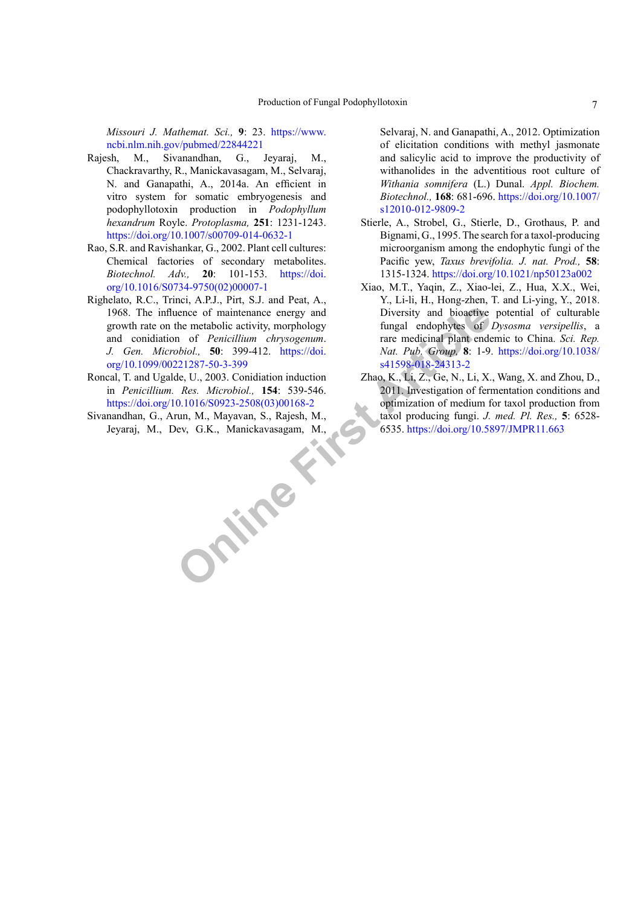*Missouri J. Mathemat. Sci.,* **9**: 23. [https://www.](https://www.ncbi.nlm.nih.gov/pubmed/22844221) [ncbi.nlm.nih.gov/pubmed/22844221](https://www.ncbi.nlm.nih.gov/pubmed/22844221)

- Rajesh, M., Sivanandhan, G., Jeyaraj, M., Chackravarthy, R., Manickavasagam, M., Selvaraj, N. and Ganapathi, A., 2014a. An efficient in vitro system for somatic embryogenesis and podophyllotoxin production in *Podophyllum hexandrum* Royle. *Protoplasma,* **251**: 1231-1243. <https://doi.org/10.1007/s00709-014-0632-1>
- Rao, S.R. and Ravishankar, G., 2002. Plant cell cultures: Chemical factories of secondary metabolites. *Biotechnol. Adv.,* **20**: 101-153. [https://doi.](https://doi.org/10.1016/S0734-9750(02)00007-1) [org/10.1016/S0734-9750\(02\)00007-1](https://doi.org/10.1016/S0734-9750(02)00007-1)
- Righelato, R.C., Trinci, A.P.J., Pirt, S.J. and Peat, A., 1968. The influence of maintenance energy and growth rate on the metabolic activity, morphology and conidiation of *Penicillium chrysogenum*. *J. Gen. Microbiol.,* **50**: 399-412. https://doi. [org/10.1099/00221287-50-3-399](https://doi.org/10.1099/00221287-50-3-399)
- Roncal, T. and Ugalde, U., 2003. Conidiation induction in *Penicillium. Res. Microbiol.,* **154**: 539-546. [https://doi.org/10.1016/S0923-2508\(03\)00168-2](https://doi.org/10.1016/S0923-2508(03)00168-2)
- **Online First [Artic](https://doi.org/10.1038/s41598-018-24313-2)le** Sivanandhan, G., Arun, M., Mayavan, S., Rajesh, M., Jeyaraj, M., Dev, G.K., Manickavasagam, M.,

Selvaraj, N. and Ganapathi, A., 2012. Optimization of elicitation conditions with methyl jasmonate and salicylic acid to improve the productivity of withanolides in the adventitious root culture of *Withania somnifera* (L.) Dunal. *Appl. Biochem. Biotechnol.,* **168**: 681-696. [https://doi.org/10.1007/](https://doi.org/10.1007/s12010-012-9809-2) [s12010-012-9809-2](https://doi.org/10.1007/s12010-012-9809-2)

- Stierle, A., Strobel, G., Stierle, D., Grothaus, P. and Bignami, G., 1995. The search for a taxol-producing microorganism among the endophytic fungi of the Pacific yew, *Taxus brevifolia. J. nat. Prod.,* **58**: 1315-1324.<https://doi.org/10.1021/np50123a002>
- Xiao, M.T., Yaqin, Z., Xiao-lei, Z., Hua, X.X., Wei, Y., Li-li, H., Hong-zhen, T. and Li-ying, Y., 2018. Diversity and bioactive potential of culturable fungal endophytes of *Dysosma versipellis*, a rare medicinal plant endemic to China. *Sci. Rep. Nat. Pub. Group,* **8**: 1-9. [https://doi.org/10.1038/](https://doi.org/10.1038/s41598-018-24313-2) s41598-018-24313-2
- Zhao, K., Li, Z., Ge, N., Li, X., Wang, X. and Zhou, D., 2011. Investigation of fermentation conditions and optimization of medium for taxol production from taxol producing fungi. *J. med. Pl. Res.,* **5**: 6528- 6535.<https://doi.org/10.5897/JMPR11.663>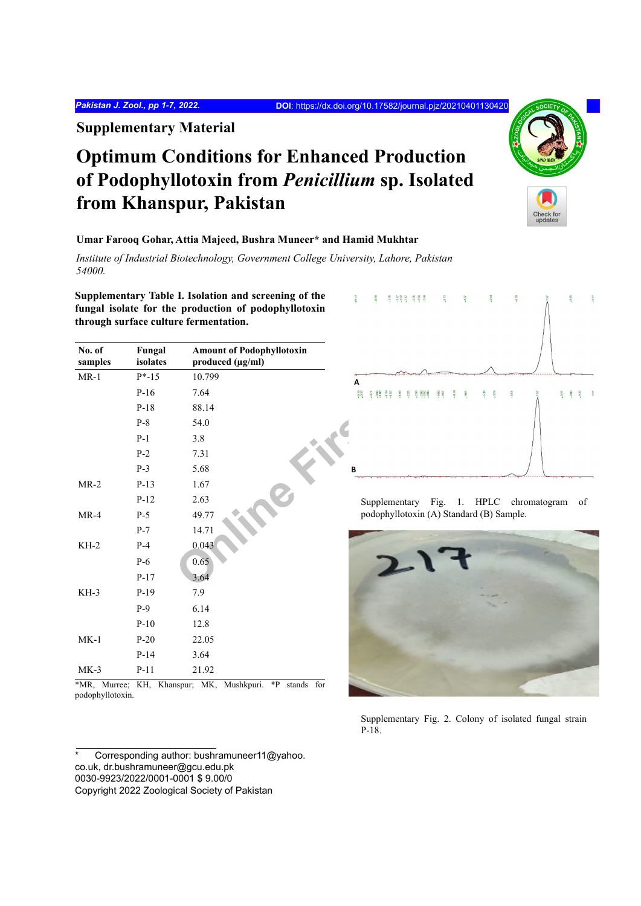**Supplementary Material**

# **Optimum Conditions for Enhanced Production of Podophyllotoxin from** *Penicillium* **sp. Isolated from Khanspur, Pakistan**



**Umar Farooq Gohar, Attia Majeed, Bushra Muneer\* and Hamid Mukhtar**

*Institute of Industrial Biotechnology, Government College University, Lahore, Pakistan 54000.*

**Supplementary Table I. Isolation and screening of the fungal isolate for the production of podophyllotoxin through surface culture fermentation.**

| No. of<br>samples | Fungal<br>isolates | <b>Amount of Podophyllotoxin</b><br>produced (µg/ml) |                                           |
|-------------------|--------------------|------------------------------------------------------|-------------------------------------------|
| $MR-1$            | $P*-15$            | 10.799                                               | А                                         |
|                   | $P-16$             | 7.64                                                 | $30^{10}_{0}$<br>$-5887$<br>78888<br>3.87 |
|                   | $P-18$             | 88.14                                                |                                           |
|                   | $P-8$              | 54.0                                                 |                                           |
|                   | $P-1$              | 3.8                                                  |                                           |
|                   | $P-2$              | 7.31                                                 |                                           |
|                   | $P-3$              | 5.68                                                 | B                                         |
| $MR-2$            | $P-13$             | 1.67                                                 |                                           |
|                   | $P-12$             | 2.63                                                 | Supplementary Fig.<br>HPI<br>1.           |
| $MR-4$            | $P-5$              | 49.77                                                | podophyllotoxin (A) Standard (B)          |
|                   | $P-7$              | 14.71                                                |                                           |
| $KH-2$            | $P-4$              | 0.043                                                |                                           |
|                   | $P-6$              | 0.65                                                 |                                           |
|                   | $P-17$             | 3.64                                                 |                                           |
| KH-3              | $P-19$             | 7.9                                                  |                                           |
|                   | $P-9$              | 6.14                                                 |                                           |
|                   | $P-10$             | 12.8                                                 |                                           |
| $MK-1$            | $P-20$             | 22.05                                                |                                           |
|                   | $P-14$             | 3.64                                                 |                                           |
| $MK-3$            | $P-11$             | 21.92                                                |                                           |
|                   |                    |                                                      |                                           |

\*MR, Murree; KH, Khanspur; MK, Mushkpuri. \*P stands for podophyllotoxin.

Corresponding author: bushramuneer11@yahoo. co.uk, dr.bushramuneer@gcu.edu.pk 0030-9923/2022/0001-0001 \$ 9.00/0 Copyright 2022 Zoological Society of Pakistan

| 1000    | $-0.88$ |       | <b>부 두위의 부원</b> |        |                           | $\overline{\mathcal{B}}$ |         | $-46\sigma$ |                  | $-564$  |         | $\mathfrak{a}_{29}^-$ |     | 7.97 |             | $-8.66$ |         | $\alpha_{\rm B}$ |
|---------|---------|-------|-----------------|--------|---------------------------|--------------------------|---------|-------------|------------------|---------|---------|-----------------------|-----|------|-------------|---------|---------|------------------|
| Α       |         |       |                 |        |                           |                          |         |             |                  |         |         |                       |     |      |             |         |         |                  |
| $-0.89$ |         | 58977 | $-100$          | $-225$ | $7.88$<br>$7.28$<br>$7.7$ | $-3.60$                  | $-4.14$ | $-461$      | $\textbf{-}5.38$ | $-5.79$ | $-6.51$ |                       | 757 |      | $\sim 0.67$ | $-8.96$ | $-9.22$ | <b>G</b>         |
| B       |         |       |                 |        |                           |                          |         |             |                  |         |         |                       |     |      |             |         |         |                  |

Supplementary Fig. 1. HPLC chromatogram of podophyllotoxin (A) Standard (B) Sample.



Supplementary Fig. 2. Colony of isolated fungal strain P-18.